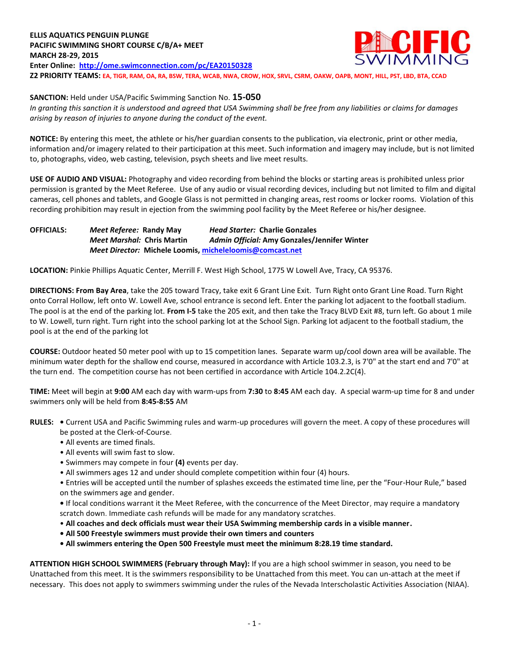**SANCTION:** Held under USA/Pacific Swimming Sanction No. **15-050**

*In granting this sanction it is understood and agreed that USA Swimming shall be free from any liabilities or claims for damages arising by reason of injuries to anyone during the conduct of the event.*

**NOTICE:** By entering this meet, the athlete or his/her guardian consents to the publication, via electronic, print or other media, information and/or imagery related to their participation at this meet. Such information and imagery may include, but is not limited to, photographs, video, web casting, television, psych sheets and live meet results.

**USE OF AUDIO AND VISUAL:** Photography and video recording from behind the blocks or starting areas is prohibited unless prior permission is granted by the Meet Referee. Use of any audio or visual recording devices, including but not limited to film and digital cameras, cell phones and tablets, and Google Glass is not permitted in changing areas, rest rooms or locker rooms. Violation of this recording prohibition may result in ejection from the swimming pool facility by the Meet Referee or his/her designee.

**OFFICIALS:** *Meet Referee:* **Randy May** *Head Starter:* **Charlie Gonzales** *Meet Marshal:* **Chris Martin** *Admin Official:* **Amy Gonzales/Jennifer Winter** *Meet Director:* **Michele Loomis, [micheleloomis@comcast.net](mailto:micheleloomis@comcast.net)**

**LOCATION:** Pinkie Phillips Aquatic Center, Merrill F. West High School, 1775 W Lowell Ave, Tracy, CA 95376.

**DIRECTIONS: From Bay Area**, take the 205 toward Tracy, take exit 6 Grant Line Exit. Turn Right onto Grant Line Road. Turn Right onto Corral Hollow, left onto W. Lowell Ave, school entrance is second left. Enter the parking lot adjacent to the football stadium. The pool is at the end of the parking lot. **From I-5** take the 205 exit, and then take the Tracy BLVD Exit #8, turn left. Go about 1 mile to W. Lowell, turn right. Turn right into the school parking lot at the School Sign. Parking lot adjacent to the football stadium, the pool is at the end of the parking lot

**COURSE:** Outdoor heated 50 meter pool with up to 15 competition lanes. Separate warm up/cool down area will be available. The minimum water depth for the shallow end course, measured in accordance with Article 103.2.3, is 7'0" at the start end and 7'0" at the turn end. The competition course has not been certified in accordance with Article 104.2.2C(4).

**TIME:** Meet will begin at **9:00** AM each day with warm-ups from **7:30** to **8:45** AM each day. A special warm-up time for 8 and under swimmers only will be held from **8:45-8:55** AM

- **RULES:** Current USA and Pacific Swimming rules and warm-up procedures will govern the meet. A copy of these procedures will be posted at the Clerk-of-Course.
	- All events are timed finals.
	- All events will swim fast to slow.
	- Swimmers may compete in four **(4)** events per day.
	- All swimmers ages 12 and under should complete competition within four (4) hours.
	- Entries will be accepted until the number of splashes exceeds the estimated time line, per the "Four-Hour Rule," based on the swimmers age and gender.
	- If local conditions warrant it the Meet Referee, with the concurrence of the Meet Director, may require a mandatory scratch down. Immediate cash refunds will be made for any mandatory scratches.
	- **All coaches and deck officials must wear their USA Swimming membership cards in a visible manner.**
	- **All 500 Freestyle swimmers must provide their own timers and counters**
	- **All swimmers entering the Open 500 Freestyle must meet the minimum 8:28.19 time standard.**

**ATTENTION HIGH SCHOOL SWIMMERS (February through May):** If you are a high school swimmer in season, you need to be Unattached from this meet. It is the swimmers responsibility to be Unattached from this meet. You can un-attach at the meet if necessary. This does not apply to swimmers swimming under the rules of the Nevada Interscholastic Activities Association (NIAA).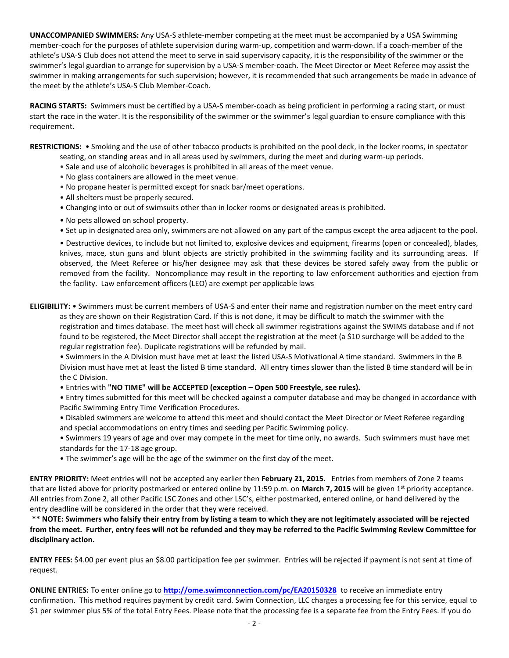**UNACCOMPANIED SWIMMERS:** Any USA-S athlete-member competing at the meet must be accompanied by a USA Swimming member-coach for the purposes of athlete supervision during warm-up, competition and warm-down. If a coach-member of the athlete's USA-S Club does not attend the meet to serve in said supervisory capacity, it is the responsibility of the swimmer or the swimmer's legal guardian to arrange for supervision by a USA-S member-coach. The Meet Director or Meet Referee may assist the swimmer in making arrangements for such supervision; however, it is recommended that such arrangements be made in advance of the meet by the athlete's USA-S Club Member-Coach.

**RACING STARTS:** Swimmers must be certified by a USA-S member-coach as being proficient in performing a racing start, or must start the race in the water. It is the responsibility of the swimmer or the swimmer's legal guardian to ensure compliance with this requirement.

**RESTRICTIONS:** • Smoking and the use of other tobacco products is prohibited on the pool deck, in the locker rooms, in spectator seating, on standing areas and in all areas used by swimmers, during the meet and during warm-up periods.

- Sale and use of alcoholic beverages is prohibited in all areas of the meet venue.
- No glass containers are allowed in the meet venue.
- No propane heater is permitted except for snack bar/meet operations.
- All shelters must be properly secured.
- Changing into or out of swimsuits other than in locker rooms or designated areas is prohibited.
- No pets allowed on school property.
- Set up in designated area only, swimmers are not allowed on any part of the campus except the area adjacent to the pool.

• Destructive devices, to include but not limited to, explosive devices and equipment, firearms (open or concealed), blades, knives, mace, stun guns and blunt objects are strictly prohibited in the swimming facility and its surrounding areas. If observed, the Meet Referee or his/her designee may ask that these devices be stored safely away from the public or removed from the facility. Noncompliance may result in the reporting to law enforcement authorities and ejection from the facility. Law enforcement officers (LEO) are exempt per applicable laws

**ELIGIBILITY:** • Swimmers must be current members of USA-S and enter their name and registration number on the meet entry card as they are shown on their Registration Card. If this is not done, it may be difficult to match the swimmer with the registration and times database. The meet host will check all swimmer registrations against the SWIMS database and if not found to be registered, the Meet Director shall accept the registration at the meet (a \$10 surcharge will be added to the regular registration fee). Duplicate registrations will be refunded by mail.

• Swimmers in the A Division must have met at least the listed USA-S Motivational A time standard. Swimmers in the B Division must have met at least the listed B time standard. All entry times slower than the listed B time standard will be in the C Division.

• Entries with **"NO TIME" will be ACCEPTED (exception – Open 500 Freestyle, see rules).**

• Entry times submitted for this meet will be checked against a computer database and may be changed in accordance with Pacific Swimming Entry Time Verification Procedures.

- Disabled swimmers are welcome to attend this meet and should contact the Meet Director or Meet Referee regarding and special accommodations on entry times and seeding per Pacific Swimming policy.
- Swimmers 19 years of age and over may compete in the meet for time only, no awards. Such swimmers must have met standards for the 17-18 age group.
- The swimmer's age will be the age of the swimmer on the first day of the meet.

**ENTRY PRIORITY:** Meet entries will not be accepted any earlier then **February 21, 2015.**Entries from members of Zone 2 teams that are listed above for priority postmarked or entered online by 11:59 p.m. on **March 7, 2015** will be given 1st priority acceptance. All entries from Zone 2, all other Pacific LSC Zones and other LSC's, either postmarked, entered online, or hand delivered by the entry deadline will be considered in the order that they were received.

**\*\* NOTE: Swimmers who falsify their entry from by listing a team to which they are not legitimately associated will be rejected from the meet. Further, entry fees will not be refunded and they may be referred to the Pacific Swimming Review Committee for disciplinary action.**

**ENTRY FEES:** \$4.00 per event plus an \$8.00 participation fee per swimmer. Entries will be rejected if payment is not sent at time of request.

**ONLINE ENTRIES:** To enter online go to **<http://ome.swimconnection.com/pc/EA20150328>** to receive an immediate entry confirmation. This method requires payment by credit card. Swim Connection, LLC charges a processing fee for this service, equal to \$1 per swimmer plus 5% of the total Entry Fees. Please note that the processing fee is a separate fee from the Entry Fees. If you do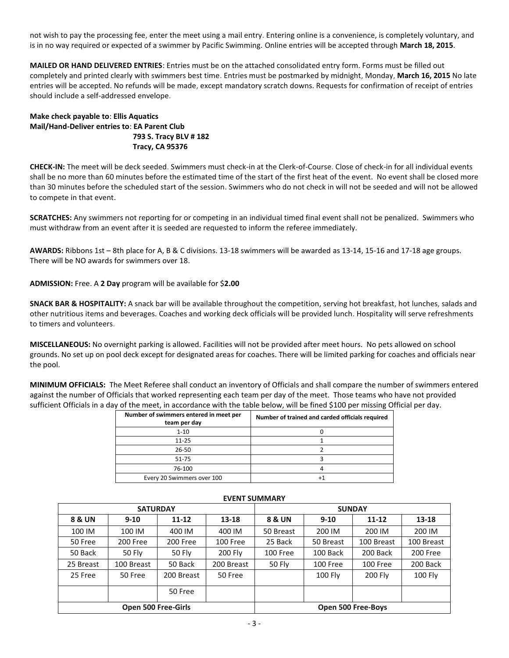not wish to pay the processing fee, enter the meet using a mail entry. Entering online is a convenience, is completely voluntary, and is in no way required or expected of a swimmer by Pacific Swimming. Online entries will be accepted through **March 18, 2015**.

**MAILED OR HAND DELIVERED ENTRIES**: Entries must be on the attached consolidated entry form. Forms must be filled out completely and printed clearly with swimmers best time. Entries must be postmarked by midnight, Monday, **March 16, 2015** No late entries will be accepted. No refunds will be made, except mandatory scratch downs. Requests for confirmation of receipt of entries should include a self-addressed envelope.

## **Make check payable to**: **Ellis Aquatics Mail/Hand-Deliver entries to**: **EA Parent Club 793 S. Tracy BLV # 182 Tracy, CA 95376**

**CHECK-IN:** The meet will be deck seeded. Swimmers must check-in at the Clerk-of-Course. Close of check-in for all individual events shall be no more than 60 minutes before the estimated time of the start of the first heat of the event. No event shall be closed more than 30 minutes before the scheduled start of the session. Swimmers who do not check in will not be seeded and will not be allowed to compete in that event.

**SCRATCHES:** Any swimmers not reporting for or competing in an individual timed final event shall not be penalized. Swimmers who must withdraw from an event after it is seeded are requested to inform the referee immediately.

**AWARDS:** Ribbons 1st – 8th place for A, B & C divisions. 13-18 swimmers will be awarded as 13-14, 15-16 and 17-18 age groups. There will be NO awards for swimmers over 18.

**ADMISSION:** Free. A **2 Day** program will be available for \$**2.00**

**SNACK BAR & HOSPITALITY:** A snack bar will be available throughout the competition, serving hot breakfast, hot lunches, salads and other nutritious items and beverages. Coaches and working deck officials will be provided lunch. Hospitality will serve refreshments to timers and volunteers.

**MISCELLANEOUS:** No overnight parking is allowed. Facilities will not be provided after meet hours. No pets allowed on school grounds. No set up on pool deck except for designated areas for coaches. There will be limited parking for coaches and officials near the pool.

**MINIMUM OFFICIALS:** The Meet Referee shall conduct an inventory of Officials and shall compare the number of swimmers entered against the number of Officials that worked representing each team per day of the meet. Those teams who have not provided sufficient Officials in a day of the meet, in accordance with the table below, will be fined \$100 per missing Official per day.

| Number of swimmers entered in meet per<br>team per day | Number of trained and carded officials required |
|--------------------------------------------------------|-------------------------------------------------|
| $1 - 10$                                               |                                                 |
| $11 - 25$                                              |                                                 |
| 26-50                                                  |                                                 |
| 51-75                                                  |                                                 |
| 76-100                                                 |                                                 |
| Every 20 Swimmers over 100                             |                                                 |

| <b>SATURDAY</b>            |            |                      |            | <b>SUNDAY</b>      |           |            |                |  |  |  |
|----------------------------|------------|----------------------|------------|--------------------|-----------|------------|----------------|--|--|--|
| 8 & UN                     | $9 - 10$   | $11 - 12$            | $13 - 18$  | 8 & UN             | $9 - 10$  | $11 - 12$  | 13-18          |  |  |  |
| 100 IM                     | 100 IM     | 400 IM               | 400 IM     | 50 Breast          | 200 IM    | 200 IM     | 200 IM         |  |  |  |
| 50 Free                    | 200 Free   | 200 Free<br>100 Free |            | 25 Back            | 50 Breast | 100 Breast | 100 Breast     |  |  |  |
| 50 Back                    | 50 Fly     | 50 Fly               | 200 Fly    | 100 Free           | 100 Back  | 200 Back   | 200 Free       |  |  |  |
| 25 Breast                  | 100 Breast | 50 Back              | 200 Breast | 50 Fly             | 100 Free  | 100 Free   | 200 Back       |  |  |  |
| 25 Free                    | 50 Free    | 200 Breast           | 50 Free    |                    | 100 Fly   | 200 Fly    | <b>100 Fly</b> |  |  |  |
|                            |            | 50 Free              |            |                    |           |            |                |  |  |  |
| <b>Open 500 Free-Girls</b> |            |                      |            | Open 500 Free-Boys |           |            |                |  |  |  |

## **EVENT SUMMARY**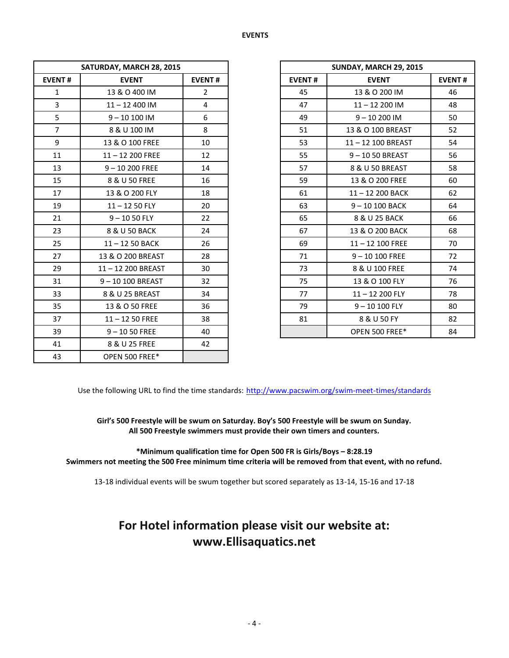| SATURDAY, MARCH 28, 2015 |                   |                |               | SUNDAY, MARCH 29, 2015 |  |  |
|--------------------------|-------------------|----------------|---------------|------------------------|--|--|
| <b>EVENT#</b>            | <b>EVENT</b>      | <b>EVENT#</b>  | <b>EVENT#</b> | <b>EVENT</b>           |  |  |
| 1                        | 13 & O 400 IM     | $\overline{2}$ | 45            | 13 & O 200 IM          |  |  |
| $\overline{3}$           | $11 - 12400$ IM   | 4              | 47            | $11 - 12200$ IM        |  |  |
| 5                        | $9 - 10100$ IM    | 6              | 49            | $9 - 10200$ IM         |  |  |
| $\overline{7}$           | 8 & U 100 IM      | 8              | 51            | 13 & O 100 BREAST      |  |  |
| 9                        | 13 & O 100 FREE   | 10             | 53            | 11-12 100 BREAST       |  |  |
| 11                       | $11 - 12200$ FREE | 12             | 55            | 9-1050 BREAST          |  |  |
| 13                       | $9 - 10200$ FREE  | 14             | 57            | 8 & U 50 BREAST        |  |  |
| 15                       | 8 & U 50 FREE     | 16             | 59            | 13 & O 200 FREE        |  |  |
| 17                       | 13 & O 200 FLY    | 18             | 61            | 11-12 200 BACK         |  |  |
| 19                       | $11 - 1250$ FLY   | 20             | 63            | $9 - 10100$ BACK       |  |  |
| 21                       | $9 - 1050$ FLY    | 22             | 65            | 8 & U 25 BACK          |  |  |
| 23                       | 8 & U 50 BACK     | 24             | 67            | 13 & O 200 BACK        |  |  |
| 25                       | $11 - 1250$ BACK  | 26             | 69            | $11 - 12$ 100 FREE     |  |  |
| 27                       | 13 & O 200 BREAST | 28             | 71            | $9 - 10100$ FREE       |  |  |
| 29                       | 11-12 200 BREAST  | 30             | 73            | 8 & U 100 FREE         |  |  |
| 31                       | 9-10 100 BREAST   | 32             | 75            | 13 & O 100 FLY         |  |  |
| 33                       | 8 & U 25 BREAST   | 34             | 77            | $11 - 12200$ FLY       |  |  |
| 35                       | 13 & O 50 FREE    | 36             | 79            | $9 - 10100$ FLY        |  |  |
| 37                       | $11 - 1250$ FREE  | 38             | 81            | 8 & U 50 FY            |  |  |
| 39                       | $9 - 1050$ FREE   | 40             |               | OPEN 500 FREE*         |  |  |
| 41                       | 8 & U 25 FREE     | 42             |               |                        |  |  |
| 43                       | OPEN 500 FREE*    |                |               |                        |  |  |

|                | SATURDAY, MARCH 28, 2015 |                |
|----------------|--------------------------|----------------|
| <b>EVENT#</b>  | <b>EVENT</b>             | <b>EVENT#</b>  |
| $\mathbf{1}$   | 13 & O 400 IM            | $\overline{2}$ |
| $\overline{3}$ | $11 - 12400$ IM          | 4              |
| 5              | $9 - 10100$ IM           | 6              |
| $\overline{7}$ | 8 & U 100 IM             | 8              |
| 9              | 13 & O 100 FREE          | 10             |
| 11             | $11 - 12200$ FREE        | 12             |
| 13             | $9 - 10200$ FREE         | 14             |
| 15             | 8 & U 50 FREE            | 16             |
| 17             | 13 & O 200 FLY           | 18             |
| 19             | $11 - 1250$ FLY          | 20             |
| 21             | $9 - 1050$ FLY           | 22             |
| 23             | 8 & U 50 BACK            | 24             |
| 25             | $11 - 1250$ BACK         | 26             |
| 27             | 13 & O 200 BREAST        | 28             |
| 29             | 11-12 200 BREAST         | 30             |
| 31             | 9-10 100 BREAST          | 32             |
| 33             | 8 & U 25 BREAST          | 34             |
| 35             | 13 & O 50 FREE           | 36             |
| 37             | $11 - 1250$ FREE         | 38             |
| 39             | $9 - 1050$ FREE          | 40             |

Use the following URL to find the time standards: <http://www.pacswim.org/swim-meet-times/standards>

**Girl's 500 Freestyle will be swum on Saturday. Boy's 500 Freestyle will be swum on Sunday. All 500 Freestyle swimmers must provide their own timers and counters.** 

**\*Minimum qualification time for Open 500 FR is Girls/Boys – 8:28.19 Swimmers not meeting the 500 Free minimum time criteria will be removed from that event, with no refund.**

13-18 individual events will be swum together but scored separately as 13-14, 15-16 and 17-18

## **For Hotel information please visit our website at: www.Ellisaquatics.net**